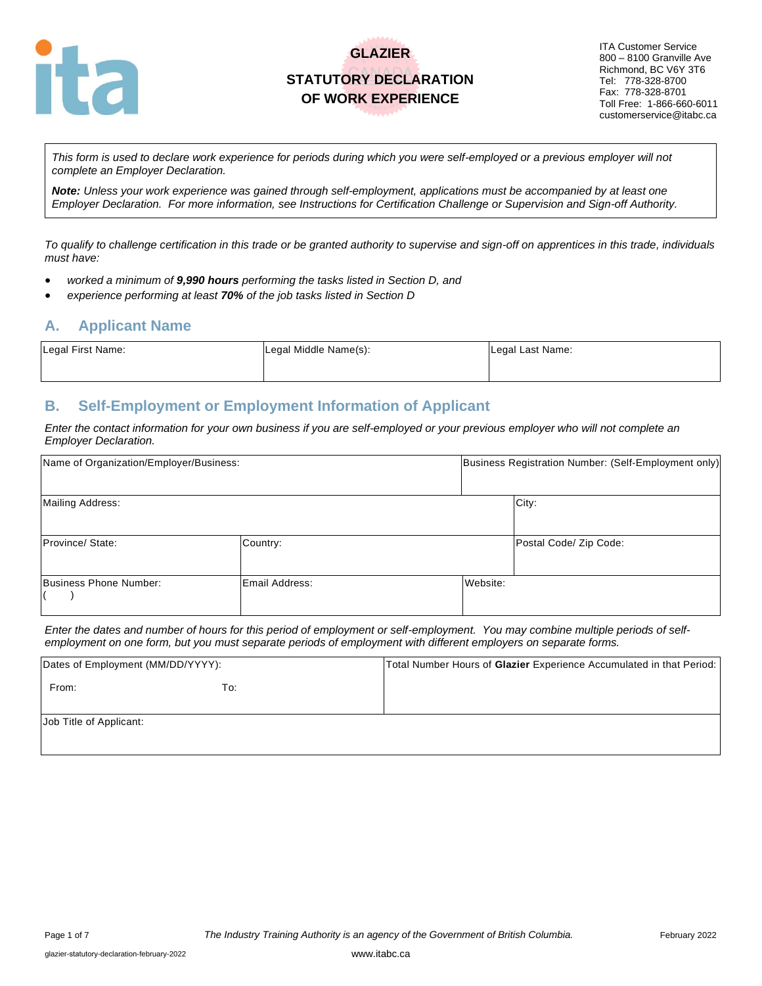

## **GLAZIER STATUTORY DECLARATION OF WORK EXPERIENCE**

ITA Customer Service 800 – 8100 Granville Ave Richmond, BC V6Y 3T6 Tel: 778-328-8700 Fax: 778-328-8701 Toll Free: 1-866-660-6011 customerservice@itabc.ca

*This form is used to declare work experience for periods during which you were self-employed or a previous employer will not complete an Employer Declaration.* 

*Note: Unless your work experience was gained through self-employment, applications must be accompanied by at least one Employer Declaration. For more information, see Instructions for Certification Challenge or Supervision and Sign-off Authority.*

*To qualify to challenge certification in this trade or be granted authority to supervise and sign-off on apprentices in this trade, individuals must have:*

- *worked a minimum of 9,990 hours performing the tasks listed in Section D, and*
- *experience performing at least 70% of the job tasks listed in Section D*

#### **A. Applicant Name**

| Legal First Name: | Legal Middle Name(s): | Legal Last Name: |
|-------------------|-----------------------|------------------|
|                   |                       |                  |

#### **B. Self-Employment or Employment Information of Applicant**

*Enter the contact information for your own business if you are self-employed or your previous employer who will not complete an Employer Declaration.*

| Name of Organization/Employer/Business: |                |          | Business Registration Number: (Self-Employment only) |
|-----------------------------------------|----------------|----------|------------------------------------------------------|
| Mailing Address:                        |                |          | City:                                                |
| Province/ State:                        | Country:       |          | Postal Code/ Zip Code:                               |
| Business Phone Number:                  | Email Address: | Website: |                                                      |

*Enter the dates and number of hours for this period of employment or self-employment. You may combine multiple periods of selfemployment on one form, but you must separate periods of employment with different employers on separate forms.*

| Dates of Employment (MM/DD/YYYY): |     | Total Number Hours of Glazier Experience Accumulated in that Period: |
|-----------------------------------|-----|----------------------------------------------------------------------|
| From:                             | To: |                                                                      |
| Job Title of Applicant:           |     |                                                                      |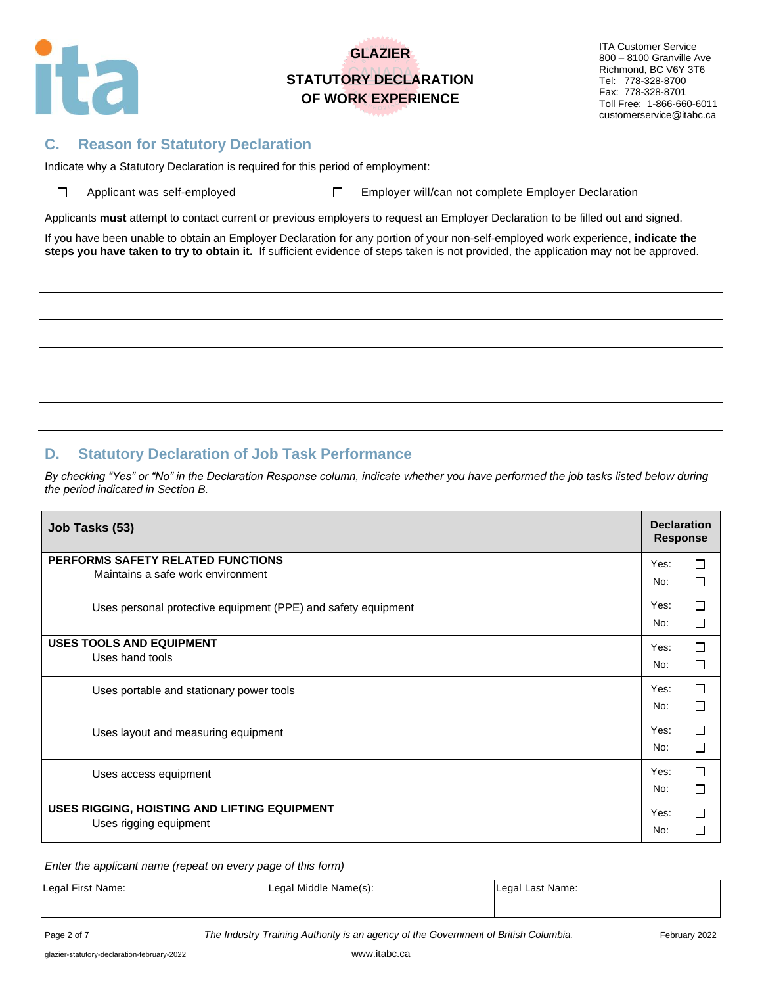

# **GLAZIER STATUTORY DECLARATION OF WORK EXPERIENCE**

ITA Customer Service 800 – 8100 Granville Ave Richmond, BC V6Y 3T6 Tel: 778-328-8700 Fax: 778-328-8701 Toll Free: 1-866-660-6011 customerservice@itabc.ca

### **C. Reason for Statutory Declaration**

Indicate why a Statutory Declaration is required for this period of employment:

 $\Box$ 

Applicant was self-employed  $\square$  Employer will/can not complete Employer Declaration

Applicants **must** attempt to contact current or previous employers to request an Employer Declaration to be filled out and signed.

If you have been unable to obtain an Employer Declaration for any portion of your non-self-employed work experience, **indicate the steps you have taken to try to obtain it.** If sufficient evidence of steps taken is not provided, the application may not be approved.

### **D. Statutory Declaration of Job Task Performance**

*By checking "Yes" or "No" in the Declaration Response column, indicate whether you have performed the job tasks listed below during the period indicated in Section B.*

| Job Tasks (53)                                                | <b>Declaration</b><br><b>Response</b> |              |
|---------------------------------------------------------------|---------------------------------------|--------------|
| PERFORMS SAFETY RELATED FUNCTIONS                             | Yes:                                  | П            |
| Maintains a safe work environment                             | No:                                   | П            |
| Uses personal protective equipment (PPE) and safety equipment | Yes:                                  | П            |
|                                                               | No:                                   | П            |
| <b>USES TOOLS AND EQUIPMENT</b>                               | Yes:                                  | П            |
| Uses hand tools                                               | No:                                   | П            |
| Uses portable and stationary power tools                      | Yes:                                  | П            |
|                                                               | No:                                   | П            |
| Uses layout and measuring equipment                           | Yes:                                  | П            |
|                                                               | No:                                   | П            |
| Uses access equipment                                         | Yes:                                  | П            |
|                                                               | No:                                   | П            |
| USES RIGGING, HOISTING AND LIFTING EQUIPMENT                  | Yes:                                  | П            |
| Uses rigging equipment                                        | No:                                   | $\mathbf{I}$ |

*Enter the applicant name (repeat on every page of this form)*

| Legal First Name: | Legal Middle Name(s): | Legal Last Name: |
|-------------------|-----------------------|------------------|
|-------------------|-----------------------|------------------|

Page 2 of 7 *The Industry Training Authority is an agency of the Government of British Columbia.* February 2022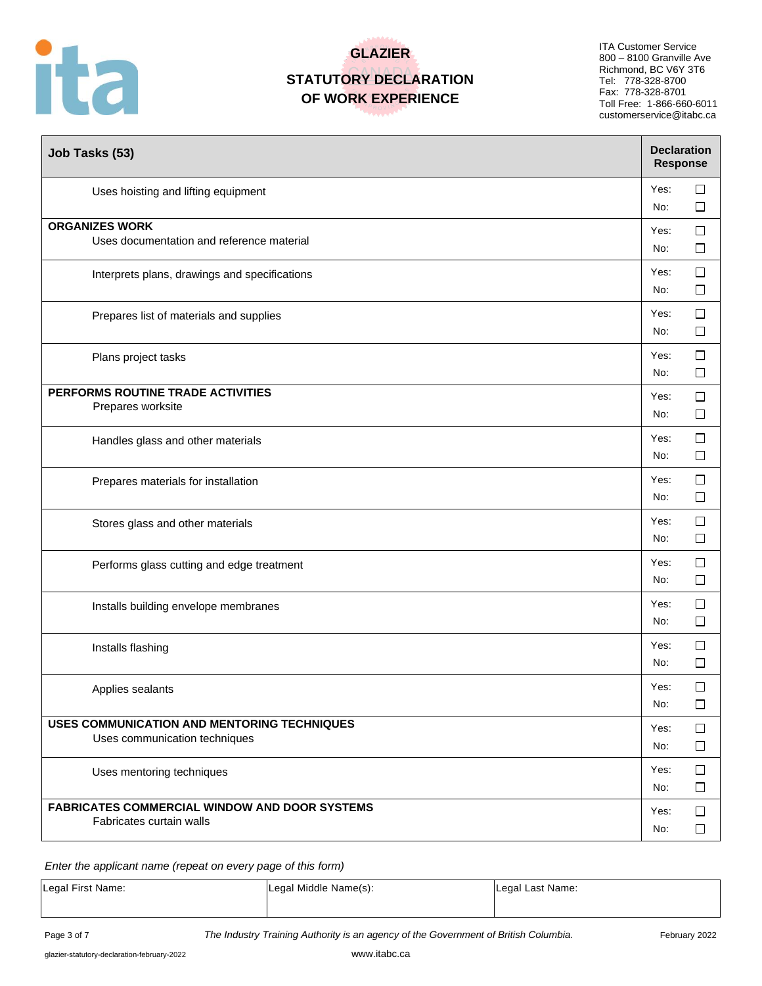

# **GLAZIER STATUTORY DECLARATION**

# **OF WORK EXPERIENCE**

ITA Customer Service 800 – 8100 Granville Ave Richmond, BC V6Y 3T6 Tel: 778-328-8700 Fax: 778-328-8701 Toll Free: 1-866-660-6011 customerservice@itabc.ca

| Job Tasks (53)                                                                      | <b>Declaration</b><br><b>Response</b> |                  |
|-------------------------------------------------------------------------------------|---------------------------------------|------------------|
| Uses hoisting and lifting equipment                                                 | Yes:<br>No:                           | $\Box$<br>□      |
| <b>ORGANIZES WORK</b><br>Uses documentation and reference material                  | Yes:<br>No:                           | $\Box$<br>ப      |
| Interprets plans, drawings and specifications                                       | Yes:<br>No:                           | $\Box$<br>$\Box$ |
| Prepares list of materials and supplies                                             | Yes:<br>No:                           | $\Box$<br>□      |
| Plans project tasks                                                                 | Yes:<br>No:                           | □<br>□           |
| PERFORMS ROUTINE TRADE ACTIVITIES<br>Prepares worksite                              | Yes:<br>No:                           | $\Box$<br>□      |
| Handles glass and other materials                                                   | Yes:<br>No:                           | □<br>$\Box$      |
| Prepares materials for installation                                                 | Yes:<br>No:                           | □<br>$\Box$      |
| Stores glass and other materials                                                    | Yes:<br>No:                           | ப<br>□           |
| Performs glass cutting and edge treatment                                           | Yes:<br>No:                           | □<br>□           |
| Installs building envelope membranes                                                | Yes:<br>No:                           | $\Box$<br>⊔      |
| Installs flashing                                                                   | Yes:<br>No:                           | $\Box$<br>□      |
| Applies sealants                                                                    | Yes:<br>No:                           | $\Box$<br>$\Box$ |
| <b>USES COMMUNICATION AND MENTORING TECHNIQUES</b><br>Uses communication techniques | Yes:<br>No:                           | $\Box$<br>$\Box$ |
| Uses mentoring techniques                                                           | Yes:<br>No:                           | $\Box$<br>□      |
| <b>FABRICATES COMMERCIAL WINDOW AND DOOR SYSTEMS</b><br>Fabricates curtain walls    | Yes:<br>No:                           | $\Box$<br>□      |

*Enter the applicant name (repeat on every page of this form)*

| Legal First Name: | Legal Middle Name(s): | Legal Last Name: |
|-------------------|-----------------------|------------------|
|                   |                       |                  |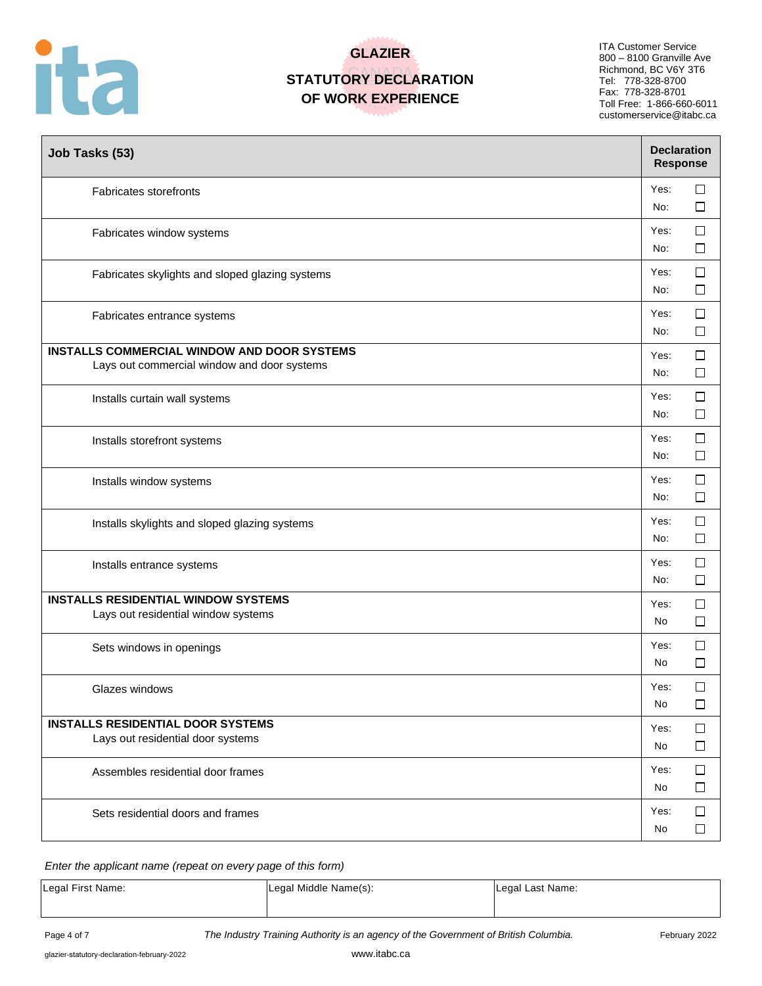

# **GLAZIER**

## **STATUTORY DECLARATION OF WORK EXPERIENCE**

ITA Customer Service 800 – 8100 Granville Ave Richmond, BC V6Y 3T6 Tel: 778-328-8700 Fax: 778-328-8701 Toll Free: 1-866-660-6011 customerservice@itabc.ca

| Job Tasks (53)                                                                                    | <b>Declaration</b><br><b>Response</b> |                  |
|---------------------------------------------------------------------------------------------------|---------------------------------------|------------------|
| Fabricates storefronts                                                                            | Yes:<br>No:                           | $\Box$<br>□      |
| Fabricates window systems                                                                         | Yes:<br>No:                           | □<br>$\Box$      |
| Fabricates skylights and sloped glazing systems                                                   | Yes:<br>No:                           | □<br>□           |
| Fabricates entrance systems                                                                       | Yes:<br>No:                           | □<br>$\Box$      |
| <b>INSTALLS COMMERCIAL WINDOW AND DOOR SYSTEMS</b><br>Lays out commercial window and door systems | Yes:<br>No:                           | □<br>ப           |
| Installs curtain wall systems                                                                     | Yes:<br>No:                           | □<br>⊔           |
| Installs storefront systems                                                                       | Yes:<br>No:                           | $\Box$<br>□      |
| Installs window systems                                                                           | Yes:<br>No:                           | $\Box$<br>□      |
| Installs skylights and sloped glazing systems                                                     | Yes:<br>No:                           | □<br>□           |
| Installs entrance systems                                                                         | Yes:<br>No:                           | $\Box$<br>□      |
| <b>INSTALLS RESIDENTIAL WINDOW SYSTEMS</b><br>Lays out residential window systems                 | Yes:<br>No                            | □<br>□           |
| Sets windows in openings                                                                          | Yes:<br>No                            | $\Box$<br>$\Box$ |
| Glazes windows                                                                                    | Yes:<br>No                            | □<br>$\Box$      |
| <b>INSTALLS RESIDENTIAL DOOR SYSTEMS</b>                                                          | Yes:                                  | □                |
| Lays out residential door systems                                                                 | No                                    | □                |
| Assembles residential door frames                                                                 | Yes:<br>No                            | $\Box$<br>□      |
| Sets residential doors and frames                                                                 | Yes:<br>No                            | $\Box$<br>ப      |

#### *Enter the applicant name (repeat on every page of this form)*

| Legal Last Name:<br>Legal First Name:<br>Legal Middle Name(s): |
|----------------------------------------------------------------|
|----------------------------------------------------------------|

Page 4 of 7 **The Industry Training Authority is an agency of the Government of British Columbia.** February 2022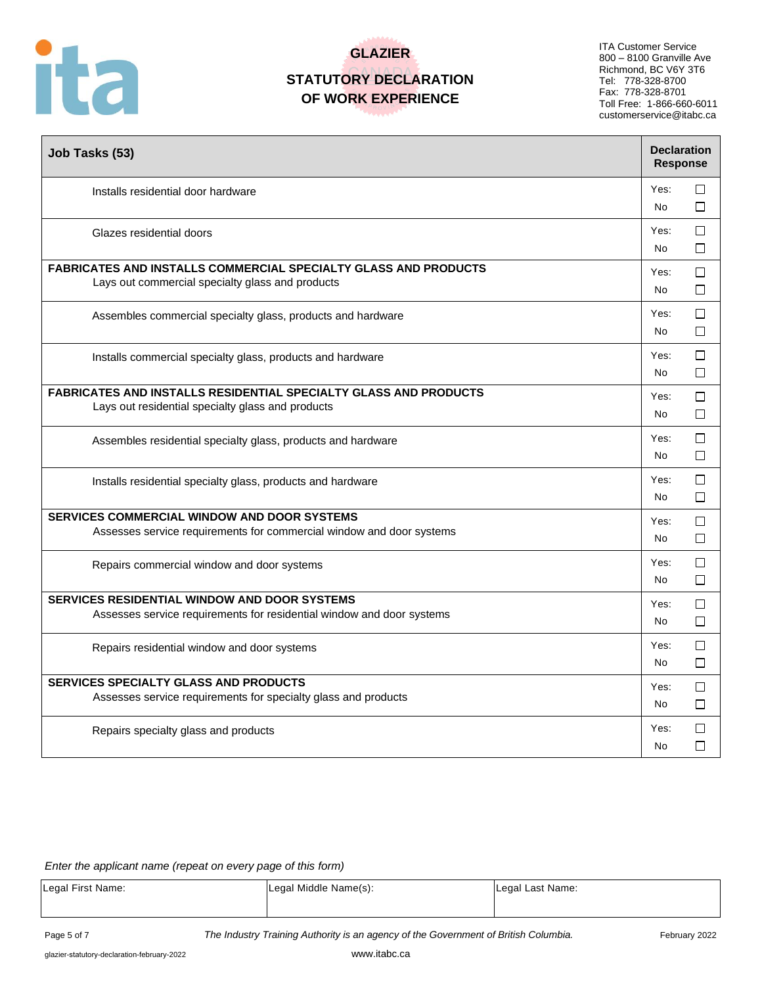

# **GLAZIER**

### **STATUTORY DECLARATION OF WORK EXPERIENCE**

ITA Customer Service 800 – 8100 Granville Ave Richmond, BC V6Y 3T6 Tel: 778-328-8700 Fax: 778-328-8701 Toll Free: 1-866-660-6011 customerservice@itabc.ca

| Job Tasks (53)                                                                                                               | <b>Declaration</b><br><b>Response</b> |             |
|------------------------------------------------------------------------------------------------------------------------------|---------------------------------------|-------------|
| Installs residential door hardware                                                                                           | Yes:<br>No                            | □<br>П      |
| Glazes residential doors                                                                                                     | Yes:<br>No                            | ⊓<br>П      |
| <b>FABRICATES AND INSTALLS COMMERCIAL SPECIALTY GLASS AND PRODUCTS</b><br>Lays out commercial specialty glass and products   | Yes:<br>No                            | П<br>□      |
| Assembles commercial specialty glass, products and hardware                                                                  | Yes:<br>No                            | □<br>П      |
| Installs commercial specialty glass, products and hardware                                                                   | Yes:<br>No                            | □<br>□      |
| <b>FABRICATES AND INSTALLS RESIDENTIAL SPECIALTY GLASS AND PRODUCTS</b><br>Lays out residential specialty glass and products | Yes:<br>No                            | □<br>П      |
| Assembles residential specialty glass, products and hardware                                                                 | Yes:<br>No                            | П<br>П      |
| Installs residential specialty glass, products and hardware                                                                  | Yes:<br>No                            | □<br>П      |
| <b>SERVICES COMMERCIAL WINDOW AND DOOR SYSTEMS</b><br>Assesses service requirements for commercial window and door systems   | Yes:<br><b>No</b>                     | □<br>⊓      |
| Repairs commercial window and door systems                                                                                   | Yes:<br>No                            | □<br>□      |
| SERVICES RESIDENTIAL WINDOW AND DOOR SYSTEMS<br>Assesses service requirements for residential window and door systems        | Yes:<br><b>No</b>                     | П<br>□      |
| Repairs residential window and door systems                                                                                  | Yes:<br>No                            | $\Box$<br>□ |
| <b>SERVICES SPECIALTY GLASS AND PRODUCTS</b><br>Assesses service requirements for specialty glass and products               | Yes:<br>No                            | П<br>□      |
| Repairs specialty glass and products                                                                                         | Yes:<br>No                            | □<br>П      |

#### *Enter the applicant name (repeat on every page of this form)*

| Legal First Name: | Legal Middle Name(s): | Legal Last Name: |
|-------------------|-----------------------|------------------|
|                   |                       |                  |

Page 5 of 7 **The Industry Training Authority is an agency of the Government of British Columbia.** February 2022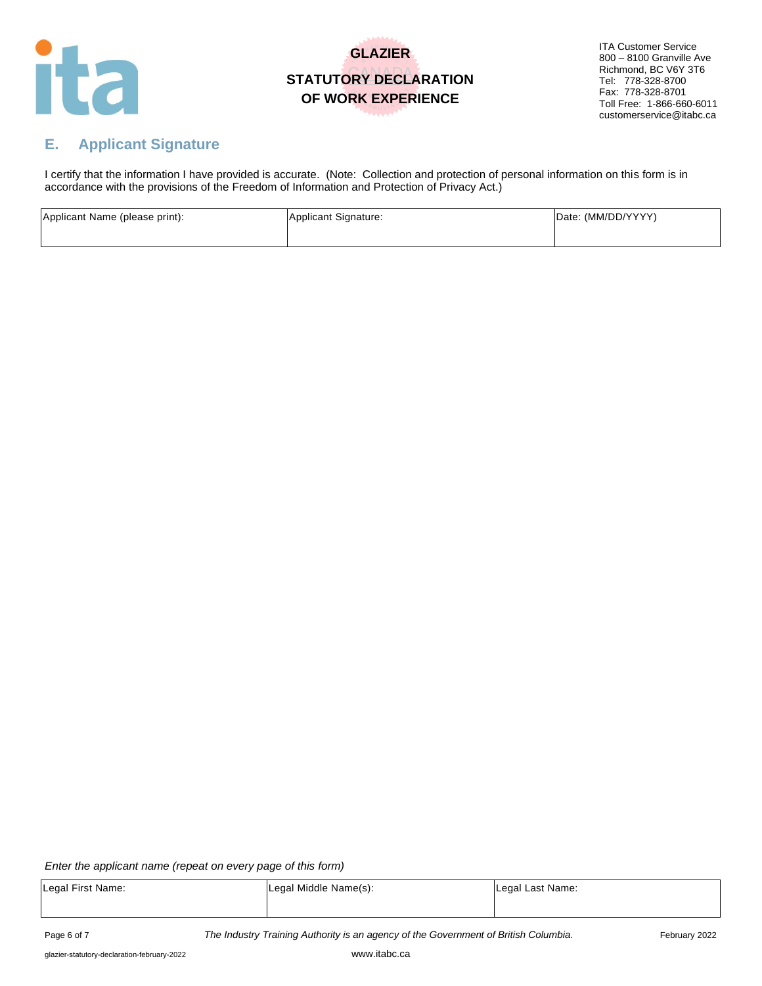

## **GLAZIER STATUTORY DECLARATION OF WORK EXPERIENCE**

ITA Customer Service 800 – 8100 Granville Ave Richmond, BC V6Y 3T6 Tel: 778-328-8700 Fax: 778-328-8701 Toll Free: 1-866-660-6011 customerservice@itabc.ca

## **E. Applicant Signature**

I certify that the information I have provided is accurate. (Note: Collection and protection of personal information on this form is in accordance with the provisions of the Freedom of Information and Protection of Privacy Act.)

| Applicant Name (please print): | Applicant Signature: | Date: (MM/DD/YYYY) |
|--------------------------------|----------------------|--------------------|
|                                |                      |                    |

*Enter the applicant name (repeat on every page of this form)*

| Legal First Name: | Legal Middle Name(s): | Legal Last Name: |
|-------------------|-----------------------|------------------|
|                   |                       |                  |
|                   |                       |                  |

Page 6 of 7 *The Industry Training Authority is an agency of the Government of British Columbia.* February 2022